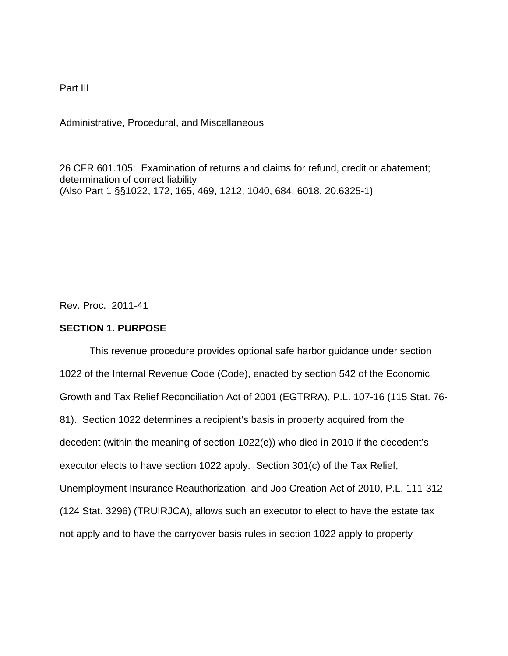Part III

Administrative, Procedural, and Miscellaneous

26 CFR 601.105: Examination of returns and claims for refund, credit or abatement; determination of correct liability (Also Part 1 §§1022, 172, 165, 469, 1212, 1040, 684, 6018, 20.6325-1)

Rev. Proc. 2011-41

## **SECTION 1. PURPOSE**

This revenue procedure provides optional safe harbor guidance under section 1022 of the Internal Revenue Code (Code), enacted by section 542 of the Economic Growth and Tax Relief Reconciliation Act of 2001 (EGTRRA), P.L. 107-16 (115 Stat. 76- 81). Section 1022 determines a recipient's basis in property acquired from the decedent (within the meaning of section 1022(e)) who died in 2010 if the decedent's executor elects to have section 1022 apply. Section 301(c) of the Tax Relief, Unemployment Insurance Reauthorization, and Job Creation Act of 2010, P.L. 111-312 (124 Stat. 3296) (TRUIRJCA), allows such an executor to elect to have the estate tax not apply and to have the carryover basis rules in section 1022 apply to property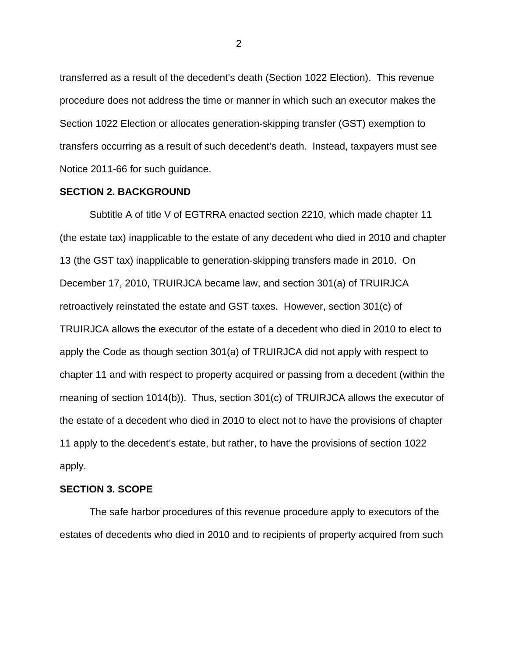transferred as a result of the decedent's death (Section 1022 Election). This revenue procedure does not address the time or manner in which such an executor makes the Section 1022 Election or allocates generation-skipping transfer (GST) exemption to transfers occurring as a result of such decedent's death. Instead, taxpayers must see Notice 2011-66 for such guidance.

### **SECTION 2. BACKGROUND**

Subtitle A of title V of EGTRRA enacted section 2210, which made chapter 11 (the estate tax) inapplicable to the estate of any decedent who died in 2010 and chapter 13 (the GST tax) inapplicable to generation-skipping transfers made in 2010. On December 17, 2010, TRUIRJCA became law, and section 301(a) of TRUIRJCA retroactively reinstated the estate and GST taxes. However, section 301(c) of TRUIRJCA allows the executor of the estate of a decedent who died in 2010 to elect to apply the Code as though section 301(a) of TRUIRJCA did not apply with respect to chapter 11 and with respect to property acquired or passing from a decedent (within the meaning of section 1014(b)). Thus, section 301(c) of TRUIRJCA allows the executor of the estate of a decedent who died in 2010 to elect not to have the provisions of chapter 11 apply to the decedent's estate, but rather, to have the provisions of section 1022 apply.

# **SECTION 3. SCOPE**

The safe harbor procedures of this revenue procedure apply to executors of the estates of decedents who died in 2010 and to recipients of property acquired from such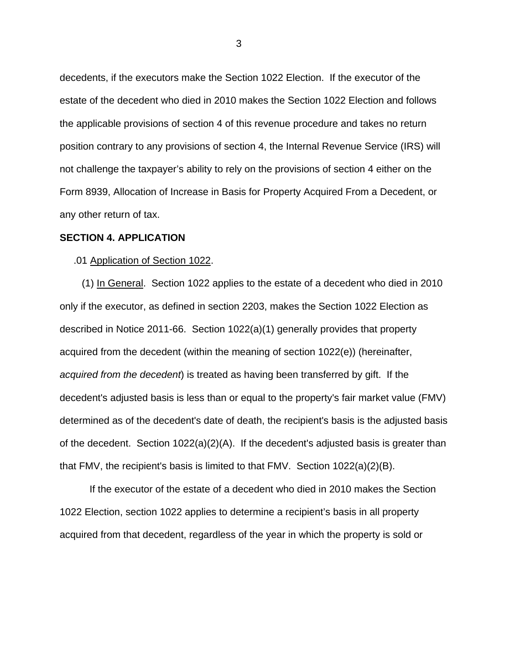decedents, if the executors make the Section 1022 Election. If the executor of the estate of the decedent who died in 2010 makes the Section 1022 Election and follows the applicable provisions of section 4 of this revenue procedure and takes no return position contrary to any provisions of section 4, the Internal Revenue Service (IRS) will not challenge the taxpayer's ability to rely on the provisions of section 4 either on the Form 8939, Allocation of Increase in Basis for Property Acquired From a Decedent, or any other return of tax.

### **SECTION 4. APPLICATION**

#### .01 Application of Section 1022.

 (1) In General. Section 1022 applies to the estate of a decedent who died in 2010 only if the executor, as defined in section 2203, makes the Section 1022 Election as described in Notice 2011-66. Section 1022(a)(1) generally provides that property acquired from the decedent (within the meaning of section 1022(e)) (hereinafter, *acquired from the decedent*) is treated as having been transferred by gift. If the decedent's adjusted basis is less than or equal to the property's fair market value (FMV) determined as of the decedent's date of death, the recipient's basis is the adjusted basis of the decedent. Section 1022(a)(2)(A). If the decedent's adjusted basis is greater than that FMV, the recipient's basis is limited to that FMV. Section  $1022(a)(2)(B)$ .

If the executor of the estate of a decedent who died in 2010 makes the Section 1022 Election, section 1022 applies to determine a recipient's basis in all property acquired from that decedent, regardless of the year in which the property is sold or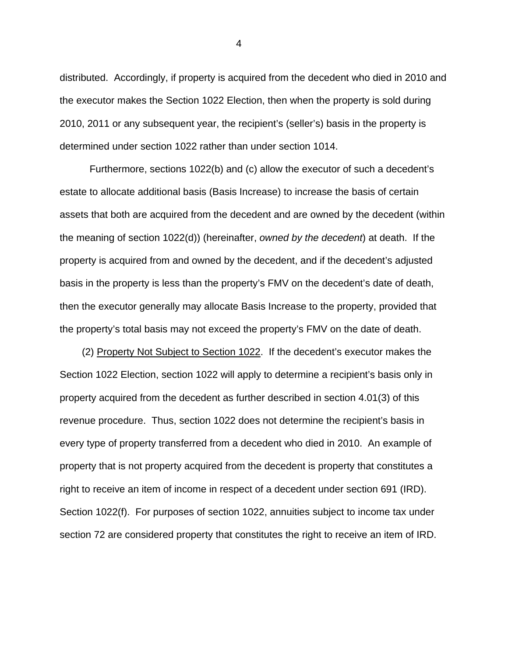distributed. Accordingly, if property is acquired from the decedent who died in 2010 and the executor makes the Section 1022 Election, then when the property is sold during 2010, 2011 or any subsequent year, the recipient's (seller's) basis in the property is determined under section 1022 rather than under section 1014.

Furthermore, sections 1022(b) and (c) allow the executor of such a decedent's estate to allocate additional basis (Basis Increase) to increase the basis of certain assets that both are acquired from the decedent and are owned by the decedent (within the meaning of section 1022(d)) (hereinafter, *owned by the decedent*) at death. If the property is acquired from and owned by the decedent, and if the decedent's adjusted basis in the property is less than the property's FMV on the decedent's date of death, then the executor generally may allocate Basis Increase to the property, provided that the property's total basis may not exceed the property's FMV on the date of death.

 (2) Property Not Subject to Section 1022. If the decedent's executor makes the Section 1022 Election, section 1022 will apply to determine a recipient's basis only in property acquired from the decedent as further described in section 4.01(3) of this revenue procedure. Thus, section 1022 does not determine the recipient's basis in every type of property transferred from a decedent who died in 2010. An example of property that is not property acquired from the decedent is property that constitutes a right to receive an item of income in respect of a decedent under section 691 (IRD). Section 1022(f). For purposes of section 1022, annuities subject to income tax under section 72 are considered property that constitutes the right to receive an item of IRD.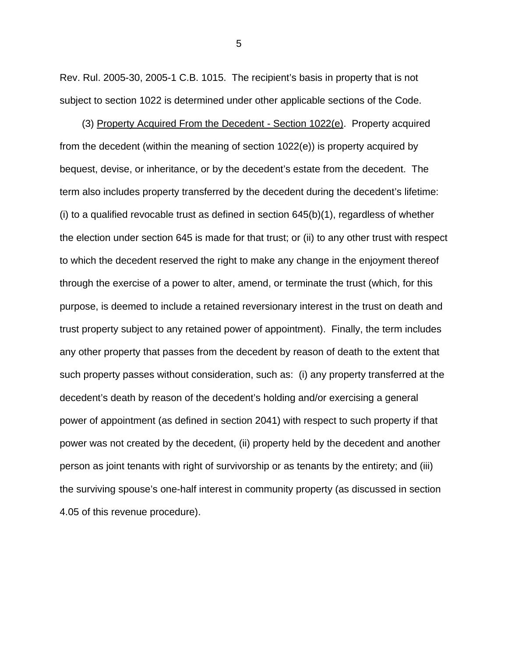Rev. Rul. 2005-30, 2005-1 C.B. 1015. The recipient's basis in property that is not subject to section 1022 is determined under other applicable sections of the Code.

 (3) Property Acquired From the Decedent - Section 1022(e). Property acquired from the decedent (within the meaning of section 1022(e)) is property acquired by bequest, devise, or inheritance, or by the decedent's estate from the decedent. The term also includes property transferred by the decedent during the decedent's lifetime: (i) to a qualified revocable trust as defined in section 645(b)(1), regardless of whether the election under section 645 is made for that trust; or (ii) to any other trust with respect to which the decedent reserved the right to make any change in the enjoyment thereof through the exercise of a power to alter, amend, or terminate the trust (which, for this purpose, is deemed to include a retained reversionary interest in the trust on death and trust property subject to any retained power of appointment). Finally, the term includes any other property that passes from the decedent by reason of death to the extent that such property passes without consideration, such as: (i) any property transferred at the decedent's death by reason of the decedent's holding and/or exercising a general power of appointment (as defined in section 2041) with respect to such property if that power was not created by the decedent, (ii) property held by the decedent and another person as joint tenants with right of survivorship or as tenants by the entirety; and (iii) the surviving spouse's one-half interest in community property (as discussed in section 4.05 of this revenue procedure).

 $\sim$  5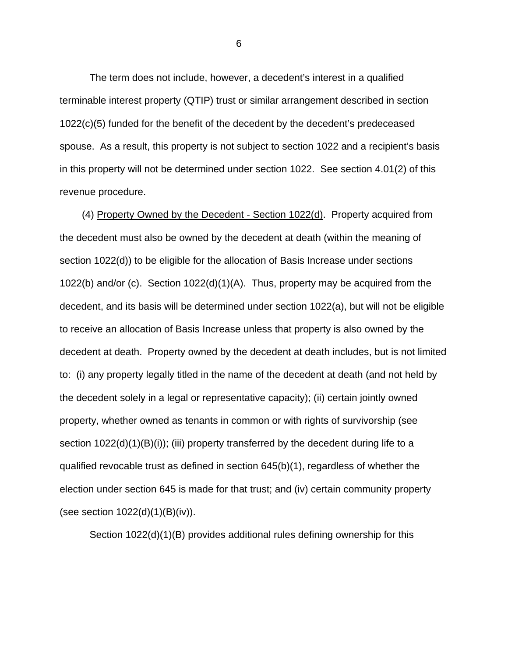The term does not include, however, a decedent's interest in a qualified terminable interest property (QTIP) trust or similar arrangement described in section 1022(c)(5) funded for the benefit of the decedent by the decedent's predeceased spouse. As a result, this property is not subject to section 1022 and a recipient's basis in this property will not be determined under section 1022. See section 4.01(2) of this revenue procedure.

 (4) Property Owned by the Decedent - Section 1022(d). Property acquired from the decedent must also be owned by the decedent at death (within the meaning of section 1022(d)) to be eligible for the allocation of Basis Increase under sections 1022(b) and/or (c). Section 1022(d)(1)(A). Thus, property may be acquired from the decedent, and its basis will be determined under section 1022(a), but will not be eligible to receive an allocation of Basis Increase unless that property is also owned by the decedent at death. Property owned by the decedent at death includes, but is not limited to: (i) any property legally titled in the name of the decedent at death (and not held by the decedent solely in a legal or representative capacity); (ii) certain jointly owned property, whether owned as tenants in common or with rights of survivorship (see section 1022(d)(1)(B)(i)); (iii) property transferred by the decedent during life to a qualified revocable trust as defined in section 645(b)(1), regardless of whether the election under section 645 is made for that trust; and (iv) certain community property (see section 1022(d)(1)(B)(iv)).

Section 1022(d)(1)(B) provides additional rules defining ownership for this

 $\overline{6}$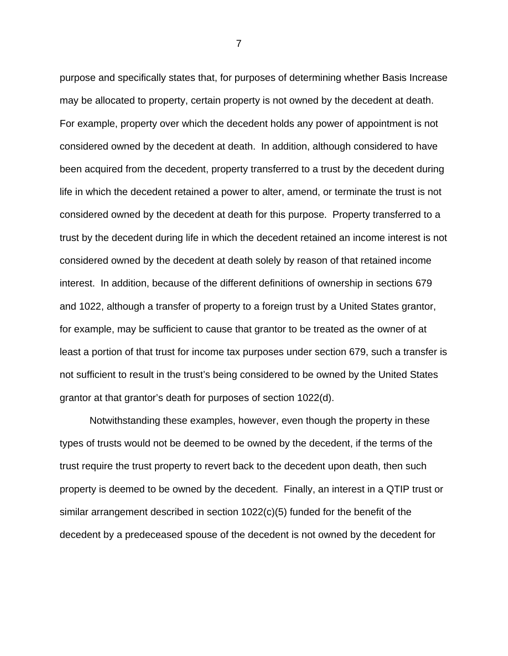purpose and specifically states that, for purposes of determining whether Basis Increase may be allocated to property, certain property is not owned by the decedent at death. For example, property over which the decedent holds any power of appointment is not considered owned by the decedent at death. In addition, although considered to have been acquired from the decedent, property transferred to a trust by the decedent during life in which the decedent retained a power to alter, amend, or terminate the trust is not considered owned by the decedent at death for this purpose. Property transferred to a trust by the decedent during life in which the decedent retained an income interest is not considered owned by the decedent at death solely by reason of that retained income interest. In addition, because of the different definitions of ownership in sections 679 and 1022, although a transfer of property to a foreign trust by a United States grantor, for example, may be sufficient to cause that grantor to be treated as the owner of at least a portion of that trust for income tax purposes under section 679, such a transfer is not sufficient to result in the trust's being considered to be owned by the United States grantor at that grantor's death for purposes of section 1022(d).

Notwithstanding these examples, however, even though the property in these types of trusts would not be deemed to be owned by the decedent, if the terms of the trust require the trust property to revert back to the decedent upon death, then such property is deemed to be owned by the decedent. Finally, an interest in a QTIP trust or similar arrangement described in section 1022(c)(5) funded for the benefit of the decedent by a predeceased spouse of the decedent is not owned by the decedent for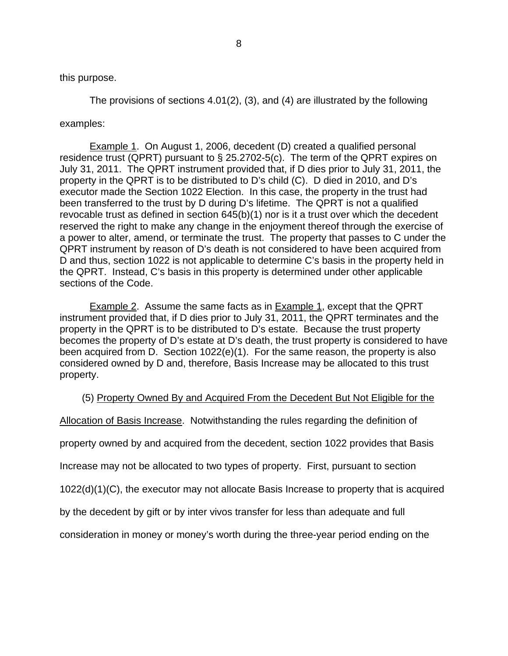# this purpose.

The provisions of sections 4.01(2), (3), and (4) are illustrated by the following

# examples:

Example 1. On August 1, 2006, decedent (D) created a qualified personal residence trust (QPRT) pursuant to § 25.2702-5(c). The term of the QPRT expires on July 31, 2011. The QPRT instrument provided that, if D dies prior to July 31, 2011, the property in the QPRT is to be distributed to D's child (C). D died in 2010, and D's executor made the Section 1022 Election. In this case, the property in the trust had been transferred to the trust by D during D's lifetime. The QPRT is not a qualified revocable trust as defined in section 645(b)(1) nor is it a trust over which the decedent reserved the right to make any change in the enjoyment thereof through the exercise of a power to alter, amend, or terminate the trust. The property that passes to C under the QPRT instrument by reason of D's death is not considered to have been acquired from D and thus, section 1022 is not applicable to determine C's basis in the property held in the QPRT. Instead, C's basis in this property is determined under other applicable sections of the Code.

Example 2. Assume the same facts as in Example 1, except that the QPRT instrument provided that, if D dies prior to July 31, 2011, the QPRT terminates and the property in the QPRT is to be distributed to D's estate. Because the trust property becomes the property of D's estate at D's death, the trust property is considered to have been acquired from D. Section 1022(e)(1). For the same reason, the property is also considered owned by D and, therefore, Basis Increase may be allocated to this trust property.

# (5) Property Owned By and Acquired From the Decedent But Not Eligible for the

Allocation of Basis Increase. Notwithstanding the rules regarding the definition of

property owned by and acquired from the decedent, section 1022 provides that Basis

Increase may not be allocated to two types of property. First, pursuant to section

1022(d)(1)(C), the executor may not allocate Basis Increase to property that is acquired

by the decedent by gift or by inter vivos transfer for less than adequate and full

consideration in money or money's worth during the three-year period ending on the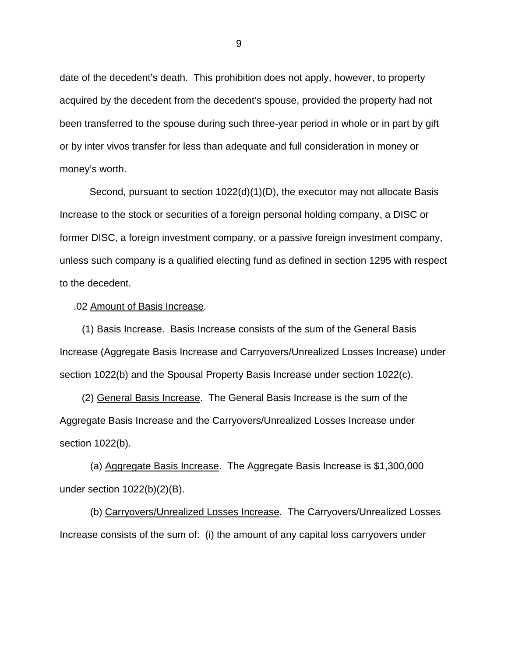date of the decedent's death. This prohibition does not apply, however, to property acquired by the decedent from the decedent's spouse, provided the property had not been transferred to the spouse during such three-year period in whole or in part by gift or by inter vivos transfer for less than adequate and full consideration in money or money's worth.

Second, pursuant to section 1022(d)(1)(D), the executor may not allocate Basis Increase to the stock or securities of a foreign personal holding company, a DISC or former DISC, a foreign investment company, or a passive foreign investment company, unless such company is a qualified electing fund as defined in section 1295 with respect to the decedent.

.02 Amount of Basis Increase.

 (1) Basis Increase. Basis Increase consists of the sum of the General Basis Increase (Aggregate Basis Increase and Carryovers/Unrealized Losses Increase) under section 1022(b) and the Spousal Property Basis Increase under section 1022(c).

 (2) General Basis Increase. The General Basis Increase is the sum of the Aggregate Basis Increase and the Carryovers/Unrealized Losses Increase under section 1022(b).

 (a) Aggregate Basis Increase. The Aggregate Basis Increase is \$1,300,000 under section 1022(b)(2)(B).

 (b) Carryovers/Unrealized Losses Increase. The Carryovers/Unrealized Losses Increase consists of the sum of: (i) the amount of any capital loss carryovers under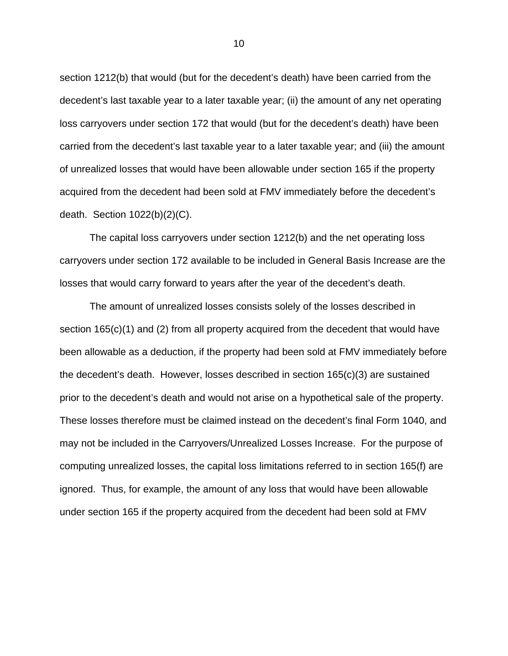section 1212(b) that would (but for the decedent's death) have been carried from the decedent's last taxable year to a later taxable year; (ii) the amount of any net operating loss carryovers under section 172 that would (but for the decedent's death) have been carried from the decedent's last taxable year to a later taxable year; and (iii) the amount of unrealized losses that would have been allowable under section 165 if the property acquired from the decedent had been sold at FMV immediately before the decedent's death. Section 1022(b)(2)(C).

The capital loss carryovers under section 1212(b) and the net operating loss carryovers under section 172 available to be included in General Basis Increase are the losses that would carry forward to years after the year of the decedent's death.

The amount of unrealized losses consists solely of the losses described in section 165(c)(1) and (2) from all property acquired from the decedent that would have been allowable as a deduction, if the property had been sold at FMV immediately before the decedent's death. However, losses described in section 165(c)(3) are sustained prior to the decedent's death and would not arise on a hypothetical sale of the property. These losses therefore must be claimed instead on the decedent's final Form 1040, and may not be included in the Carryovers/Unrealized Losses Increase. For the purpose of computing unrealized losses, the capital loss limitations referred to in section 165(f) are ignored. Thus, for example, the amount of any loss that would have been allowable under section 165 if the property acquired from the decedent had been sold at FMV

<u>10</u>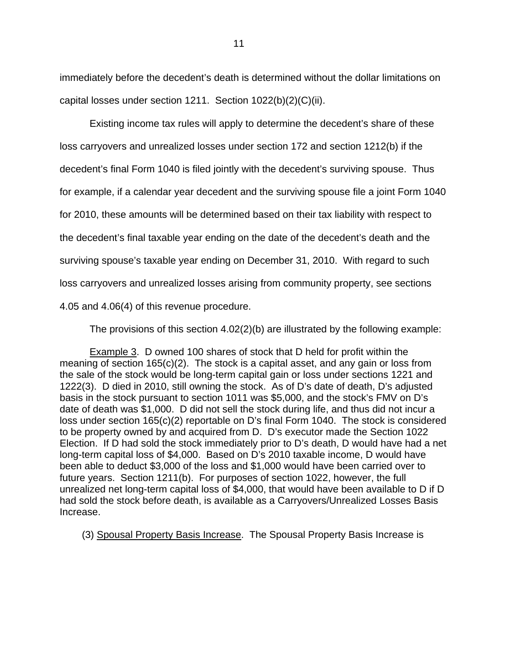immediately before the decedent's death is determined without the dollar limitations on capital losses under section 1211. Section 1022(b)(2)(C)(ii).

Existing income tax rules will apply to determine the decedent's share of these loss carryovers and unrealized losses under section 172 and section 1212(b) if the decedent's final Form 1040 is filed jointly with the decedent's surviving spouse. Thus for example, if a calendar year decedent and the surviving spouse file a joint Form 1040 for 2010, these amounts will be determined based on their tax liability with respect to the decedent's final taxable year ending on the date of the decedent's death and the surviving spouse's taxable year ending on December 31, 2010. With regard to such loss carryovers and unrealized losses arising from community property, see sections 4.05 and 4.06(4) of this revenue procedure.

The provisions of this section 4.02(2)(b) are illustrated by the following example:

Example 3. D owned 100 shares of stock that D held for profit within the meaning of section 165(c)(2). The stock is a capital asset, and any gain or loss from the sale of the stock would be long-term capital gain or loss under sections 1221 and 1222(3). D died in 2010, still owning the stock. As of D's date of death, D's adjusted basis in the stock pursuant to section 1011 was \$5,000, and the stock's FMV on D's date of death was \$1,000. D did not sell the stock during life, and thus did not incur a loss under section 165(c)(2) reportable on D's final Form 1040. The stock is considered to be property owned by and acquired from D. D's executor made the Section 1022 Election. If D had sold the stock immediately prior to D's death, D would have had a net long-term capital loss of \$4,000. Based on D's 2010 taxable income, D would have been able to deduct \$3,000 of the loss and \$1,000 would have been carried over to future years. Section 1211(b). For purposes of section 1022, however, the full unrealized net long-term capital loss of \$4,000, that would have been available to D if D had sold the stock before death, is available as a Carryovers/Unrealized Losses Basis Increase.

(3) Spousal Property Basis Increase. The Spousal Property Basis Increase is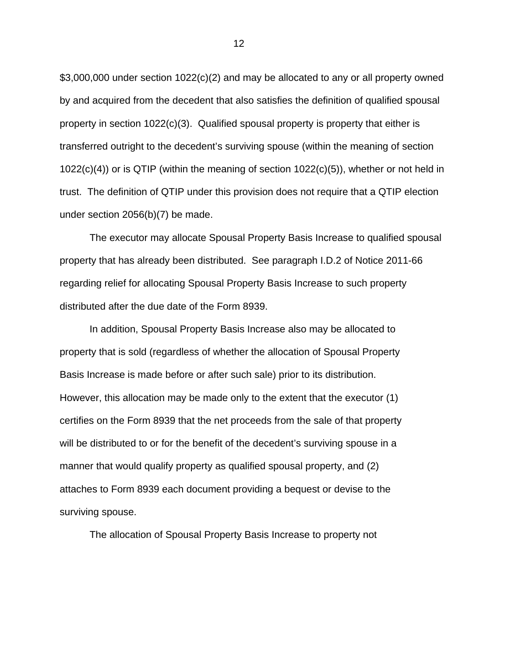\$3,000,000 under section 1022(c)(2) and may be allocated to any or all property owned by and acquired from the decedent that also satisfies the definition of qualified spousal property in section 1022(c)(3). Qualified spousal property is property that either is transferred outright to the decedent's surviving spouse (within the meaning of section 1022(c)(4)) or is QTIP (within the meaning of section 1022(c)(5)), whether or not held in trust. The definition of QTIP under this provision does not require that a QTIP election under section 2056(b)(7) be made.

The executor may allocate Spousal Property Basis Increase to qualified spousal property that has already been distributed. See paragraph I.D.2 of Notice 2011-66 regarding relief for allocating Spousal Property Basis Increase to such property distributed after the due date of the Form 8939.

In addition, Spousal Property Basis Increase also may be allocated to property that is sold (regardless of whether the allocation of Spousal Property Basis Increase is made before or after such sale) prior to its distribution. However, this allocation may be made only to the extent that the executor (1) certifies on the Form 8939 that the net proceeds from the sale of that property will be distributed to or for the benefit of the decedent's surviving spouse in a manner that would qualify property as qualified spousal property, and (2) attaches to Form 8939 each document providing a bequest or devise to the surviving spouse.

The allocation of Spousal Property Basis Increase to property not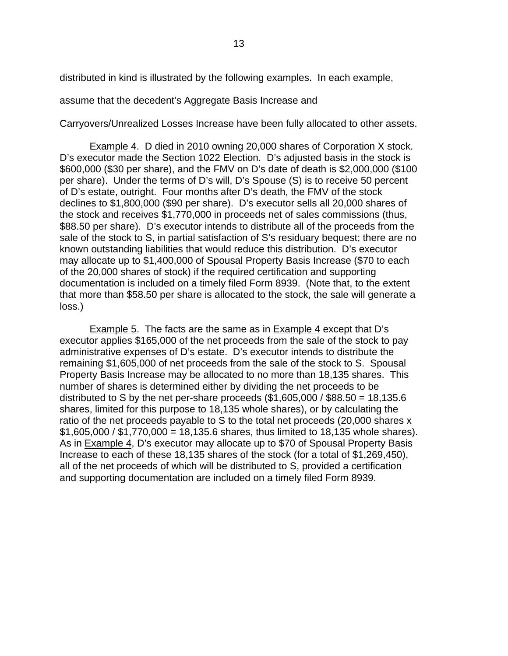distributed in kind is illustrated by the following examples. In each example,

assume that the decedent's Aggregate Basis Increase and

Carryovers/Unrealized Losses Increase have been fully allocated to other assets.

Example 4. D died in 2010 owning 20,000 shares of Corporation X stock. D's executor made the Section 1022 Election. D's adjusted basis in the stock is \$600,000 (\$30 per share), and the FMV on D's date of death is \$2,000,000 (\$100 per share). Under the terms of D's will, D's Spouse (S) is to receive 50 percent of D's estate, outright. Four months after D's death, the FMV of the stock declines to \$1,800,000 (\$90 per share). D's executor sells all 20,000 shares of the stock and receives \$1,770,000 in proceeds net of sales commissions (thus, \$88.50 per share). D's executor intends to distribute all of the proceeds from the sale of the stock to S, in partial satisfaction of S's residuary bequest; there are no known outstanding liabilities that would reduce this distribution. D's executor may allocate up to \$1,400,000 of Spousal Property Basis Increase (\$70 to each of the 20,000 shares of stock) if the required certification and supporting documentation is included on a timely filed Form 8939. (Note that, to the extent that more than \$58.50 per share is allocated to the stock, the sale will generate a loss.)

Example 5. The facts are the same as in Example 4 except that D's executor applies \$165,000 of the net proceeds from the sale of the stock to pay administrative expenses of D's estate. D's executor intends to distribute the remaining \$1,605,000 of net proceeds from the sale of the stock to S. Spousal Property Basis Increase may be allocated to no more than 18,135 shares. This number of shares is determined either by dividing the net proceeds to be distributed to S by the net per-share proceeds  $(\$1,605,000 / \$88.50 = 18,135.6$ shares, limited for this purpose to 18,135 whole shares), or by calculating the ratio of the net proceeds payable to S to the total net proceeds (20,000 shares x  $$1,605,000 / $1,770,000 = 18,135.6$  shares, thus limited to 18,135 whole shares). As in Example 4, D's executor may allocate up to \$70 of Spousal Property Basis Increase to each of these 18,135 shares of the stock (for a total of \$1,269,450), all of the net proceeds of which will be distributed to S, provided a certification and supporting documentation are included on a timely filed Form 8939.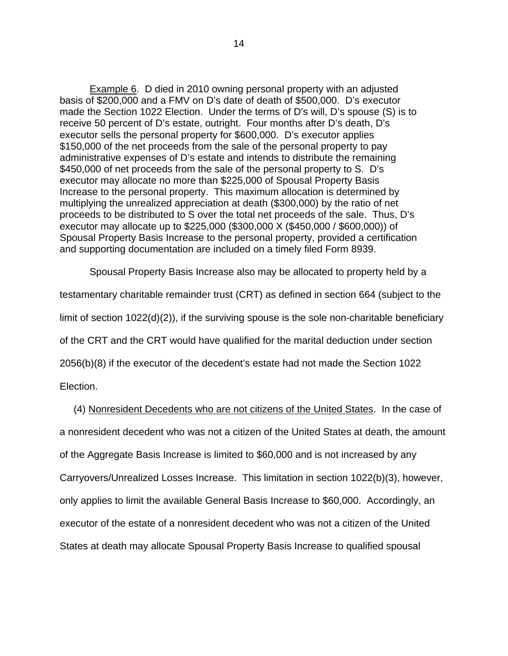Example 6. D died in 2010 owning personal property with an adjusted basis of \$200,000 and a FMV on D's date of death of \$500,000. D's executor made the Section 1022 Election. Under the terms of D's will, D's spouse (S) is to receive 50 percent of D's estate, outright. Four months after D's death, D's executor sells the personal property for \$600,000. D's executor applies \$150,000 of the net proceeds from the sale of the personal property to pay administrative expenses of D's estate and intends to distribute the remaining \$450,000 of net proceeds from the sale of the personal property to S. D's executor may allocate no more than \$225,000 of Spousal Property Basis Increase to the personal property. This maximum allocation is determined by multiplying the unrealized appreciation at death (\$300,000) by the ratio of net proceeds to be distributed to S over the total net proceeds of the sale. Thus, D's executor may allocate up to \$225,000 (\$300,000 X (\$450,000 / \$600,000)) of Spousal Property Basis Increase to the personal property, provided a certification and supporting documentation are included on a timely filed Form 8939.

Spousal Property Basis Increase also may be allocated to property held by a testamentary charitable remainder trust (CRT) as defined in section 664 (subject to the limit of section 1022(d)(2)), if the surviving spouse is the sole non-charitable beneficiary of the CRT and the CRT would have qualified for the marital deduction under section 2056(b)(8) if the executor of the decedent's estate had not made the Section 1022 Election.

 (4) Nonresident Decedents who are not citizens of the United States. In the case of a nonresident decedent who was not a citizen of the United States at death, the amount of the Aggregate Basis Increase is limited to \$60,000 and is not increased by any Carryovers/Unrealized Losses Increase. This limitation in section 1022(b)(3), however, only applies to limit the available General Basis Increase to \$60,000. Accordingly, an executor of the estate of a nonresident decedent who was not a citizen of the United States at death may allocate Spousal Property Basis Increase to qualified spousal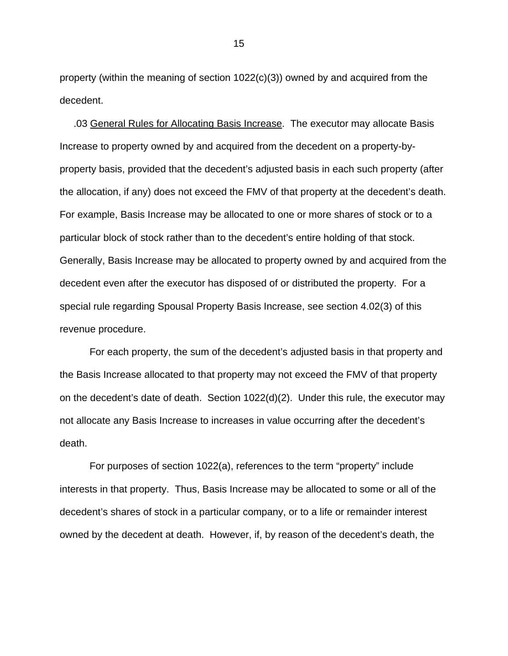property (within the meaning of section 1022(c)(3)) owned by and acquired from the decedent.

 .03 General Rules for Allocating Basis Increase. The executor may allocate Basis Increase to property owned by and acquired from the decedent on a property-byproperty basis, provided that the decedent's adjusted basis in each such property (after the allocation, if any) does not exceed the FMV of that property at the decedent's death. For example, Basis Increase may be allocated to one or more shares of stock or to a particular block of stock rather than to the decedent's entire holding of that stock. Generally, Basis Increase may be allocated to property owned by and acquired from the decedent even after the executor has disposed of or distributed the property. For a special rule regarding Spousal Property Basis Increase, see section 4.02(3) of this revenue procedure.

For each property, the sum of the decedent's adjusted basis in that property and the Basis Increase allocated to that property may not exceed the FMV of that property on the decedent's date of death. Section 1022(d)(2). Under this rule, the executor may not allocate any Basis Increase to increases in value occurring after the decedent's death.

For purposes of section 1022(a), references to the term "property" include interests in that property. Thus, Basis Increase may be allocated to some or all of the decedent's shares of stock in a particular company, or to a life or remainder interest owned by the decedent at death. However, if, by reason of the decedent's death, the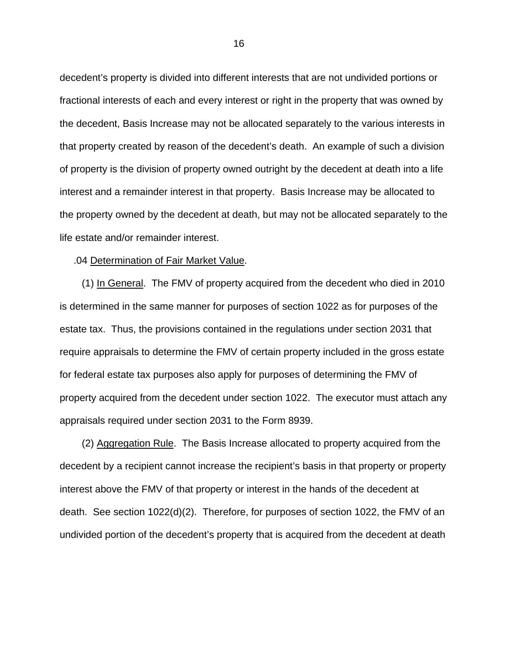decedent's property is divided into different interests that are not undivided portions or fractional interests of each and every interest or right in the property that was owned by the decedent, Basis Increase may not be allocated separately to the various interests in that property created by reason of the decedent's death. An example of such a division of property is the division of property owned outright by the decedent at death into a life interest and a remainder interest in that property. Basis Increase may be allocated to the property owned by the decedent at death, but may not be allocated separately to the life estate and/or remainder interest.

## .04 Determination of Fair Market Value.

 (1) In General. The FMV of property acquired from the decedent who died in 2010 is determined in the same manner for purposes of section 1022 as for purposes of the estate tax. Thus, the provisions contained in the regulations under section 2031 that require appraisals to determine the FMV of certain property included in the gross estate for federal estate tax purposes also apply for purposes of determining the FMV of property acquired from the decedent under section 1022. The executor must attach any appraisals required under section 2031 to the Form 8939.

 (2) Aggregation Rule. The Basis Increase allocated to property acquired from the decedent by a recipient cannot increase the recipient's basis in that property or property interest above the FMV of that property or interest in the hands of the decedent at death. See section 1022(d)(2). Therefore, for purposes of section 1022, the FMV of an undivided portion of the decedent's property that is acquired from the decedent at death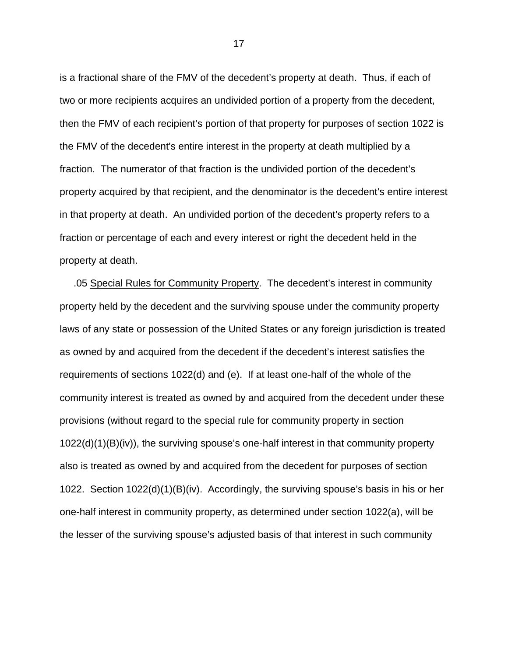is a fractional share of the FMV of the decedent's property at death. Thus, if each of two or more recipients acquires an undivided portion of a property from the decedent, then the FMV of each recipient's portion of that property for purposes of section 1022 is the FMV of the decedent's entire interest in the property at death multiplied by a fraction. The numerator of that fraction is the undivided portion of the decedent's property acquired by that recipient, and the denominator is the decedent's entire interest in that property at death. An undivided portion of the decedent's property refers to a fraction or percentage of each and every interest or right the decedent held in the property at death.

 .05 Special Rules for Community Property. The decedent's interest in community property held by the decedent and the surviving spouse under the community property laws of any state or possession of the United States or any foreign jurisdiction is treated as owned by and acquired from the decedent if the decedent's interest satisfies the requirements of sections 1022(d) and (e). If at least one-half of the whole of the community interest is treated as owned by and acquired from the decedent under these provisions (without regard to the special rule for community property in section 1022(d)(1)(B)(iv)), the surviving spouse's one-half interest in that community property also is treated as owned by and acquired from the decedent for purposes of section 1022. Section 1022(d)(1)(B)(iv). Accordingly, the surviving spouse's basis in his or her one-half interest in community property, as determined under section 1022(a), will be the lesser of the surviving spouse's adjusted basis of that interest in such community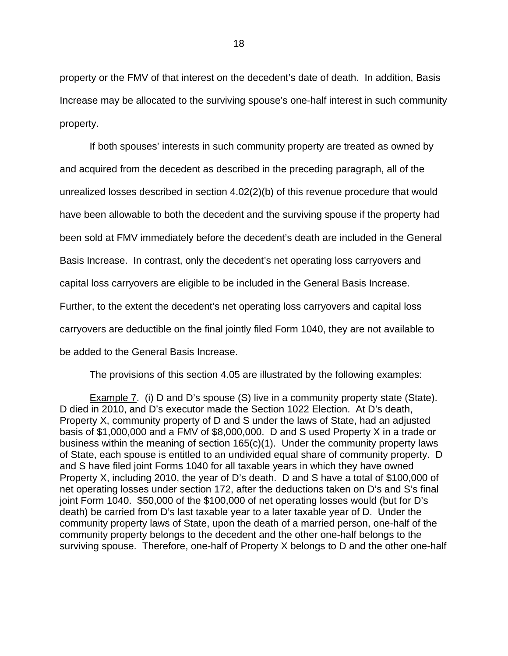property or the FMV of that interest on the decedent's date of death. In addition, Basis Increase may be allocated to the surviving spouse's one-half interest in such community property.

If both spouses' interests in such community property are treated as owned by and acquired from the decedent as described in the preceding paragraph, all of the unrealized losses described in section 4.02(2)(b) of this revenue procedure that would have been allowable to both the decedent and the surviving spouse if the property had been sold at FMV immediately before the decedent's death are included in the General Basis Increase. In contrast, only the decedent's net operating loss carryovers and capital loss carryovers are eligible to be included in the General Basis Increase. Further, to the extent the decedent's net operating loss carryovers and capital loss carryovers are deductible on the final jointly filed Form 1040, they are not available to be added to the General Basis Increase.

The provisions of this section 4.05 are illustrated by the following examples:

Example 7. (i) D and D's spouse (S) live in a community property state (State). D died in 2010, and D's executor made the Section 1022 Election. At D's death, Property X, community property of D and S under the laws of State, had an adjusted basis of \$1,000,000 and a FMV of \$8,000,000. D and S used Property X in a trade or business within the meaning of section 165(c)(1). Under the community property laws of State, each spouse is entitled to an undivided equal share of community property. D and S have filed joint Forms 1040 for all taxable years in which they have owned Property X, including 2010, the year of D's death. D and S have a total of \$100,000 of net operating losses under section 172, after the deductions taken on D's and S's final joint Form 1040. \$50,000 of the \$100,000 of net operating losses would (but for D's death) be carried from D's last taxable year to a later taxable year of D. Under the community property laws of State, upon the death of a married person, one-half of the community property belongs to the decedent and the other one-half belongs to the surviving spouse. Therefore, one-half of Property X belongs to D and the other one-half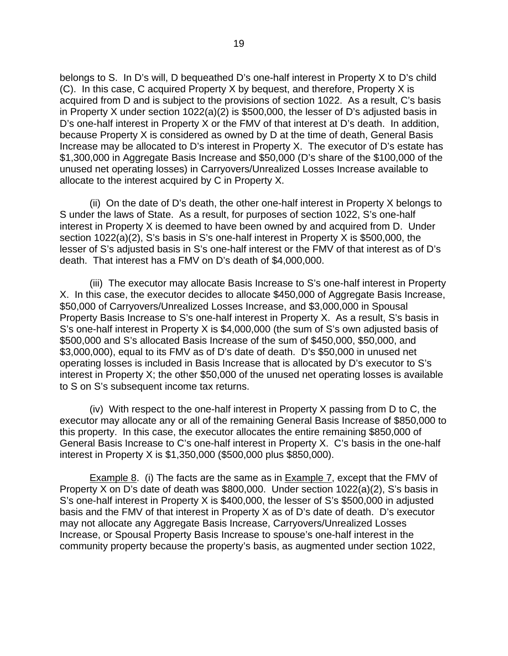belongs to S. In D's will, D bequeathed D's one-half interest in Property X to D's child (C). In this case, C acquired Property X by bequest, and therefore, Property X is acquired from D and is subject to the provisions of section 1022. As a result, C's basis in Property X under section 1022(a)(2) is \$500,000, the lesser of D's adjusted basis in D's one-half interest in Property X or the FMV of that interest at D's death. In addition, because Property X is considered as owned by D at the time of death, General Basis Increase may be allocated to D's interest in Property X. The executor of D's estate has \$1,300,000 in Aggregate Basis Increase and \$50,000 (D's share of the \$100,000 of the unused net operating losses) in Carryovers/Unrealized Losses Increase available to allocate to the interest acquired by C in Property X.

(ii) On the date of D's death, the other one-half interest in Property X belongs to S under the laws of State. As a result, for purposes of section 1022, S's one-half interest in Property X is deemed to have been owned by and acquired from D. Under section 1022(a)(2), S's basis in S's one-half interest in Property X is \$500,000, the lesser of S's adjusted basis in S's one-half interest or the FMV of that interest as of D's death. That interest has a FMV on D's death of \$4,000,000.

(iii) The executor may allocate Basis Increase to S's one-half interest in Property X. In this case, the executor decides to allocate \$450,000 of Aggregate Basis Increase, \$50,000 of Carryovers/Unrealized Losses Increase, and \$3,000,000 in Spousal Property Basis Increase to S's one-half interest in Property X. As a result, S's basis in S's one-half interest in Property X is \$4,000,000 (the sum of S's own adjusted basis of \$500,000 and S's allocated Basis Increase of the sum of \$450,000, \$50,000, and \$3,000,000), equal to its FMV as of D's date of death. D's \$50,000 in unused net operating losses is included in Basis Increase that is allocated by D's executor to S's interest in Property X; the other \$50,000 of the unused net operating losses is available to S on S's subsequent income tax returns.

(iv) With respect to the one-half interest in Property X passing from D to C, the executor may allocate any or all of the remaining General Basis Increase of \$850,000 to this property. In this case, the executor allocates the entire remaining \$850,000 of General Basis Increase to C's one-half interest in Property X. C's basis in the one-half interest in Property X is \$1,350,000 (\$500,000 plus \$850,000).

Example 8. (i) The facts are the same as in Example 7, except that the FMV of Property X on D's date of death was \$800,000. Under section 1022(a)(2), S's basis in S's one-half interest in Property X is \$400,000, the lesser of S's \$500,000 in adjusted basis and the FMV of that interest in Property X as of D's date of death. D's executor may not allocate any Aggregate Basis Increase, Carryovers/Unrealized Losses Increase, or Spousal Property Basis Increase to spouse's one-half interest in the community property because the property's basis, as augmented under section 1022,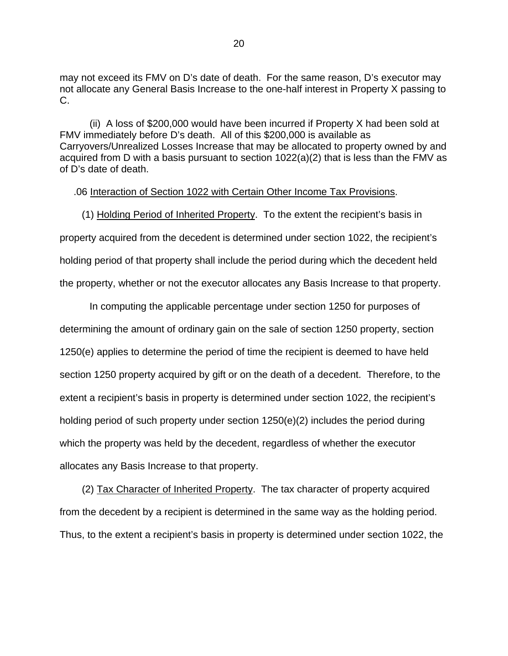may not exceed its FMV on D's date of death. For the same reason, D's executor may not allocate any General Basis Increase to the one-half interest in Property X passing to C.

(ii) A loss of \$200,000 would have been incurred if Property X had been sold at FMV immediately before D's death. All of this \$200,000 is available as Carryovers/Unrealized Losses Increase that may be allocated to property owned by and acquired from D with a basis pursuant to section 1022(a)(2) that is less than the FMV as of D's date of death.

## .06 Interaction of Section 1022 with Certain Other Income Tax Provisions.

 (1) Holding Period of Inherited Property. To the extent the recipient's basis in property acquired from the decedent is determined under section 1022, the recipient's holding period of that property shall include the period during which the decedent held the property, whether or not the executor allocates any Basis Increase to that property.

In computing the applicable percentage under section 1250 for purposes of determining the amount of ordinary gain on the sale of section 1250 property, section 1250(e) applies to determine the period of time the recipient is deemed to have held section 1250 property acquired by gift or on the death of a decedent. Therefore, to the extent a recipient's basis in property is determined under section 1022, the recipient's holding period of such property under section 1250(e)(2) includes the period during which the property was held by the decedent, regardless of whether the executor allocates any Basis Increase to that property.

 (2) Tax Character of Inherited Property. The tax character of property acquired from the decedent by a recipient is determined in the same way as the holding period. Thus, to the extent a recipient's basis in property is determined under section 1022, the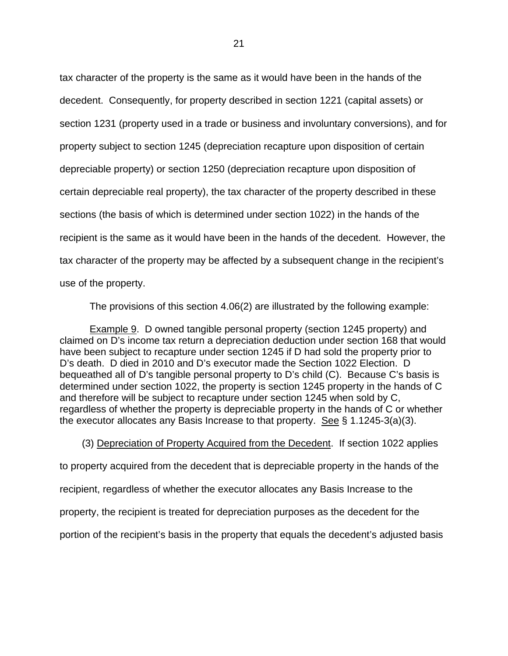tax character of the property is the same as it would have been in the hands of the decedent. Consequently, for property described in section 1221 (capital assets) or section 1231 (property used in a trade or business and involuntary conversions), and for property subject to section 1245 (depreciation recapture upon disposition of certain depreciable property) or section 1250 (depreciation recapture upon disposition of certain depreciable real property), the tax character of the property described in these sections (the basis of which is determined under section 1022) in the hands of the recipient is the same as it would have been in the hands of the decedent. However, the tax character of the property may be affected by a subsequent change in the recipient's use of the property.

The provisions of this section 4.06(2) are illustrated by the following example:

 Example 9. D owned tangible personal property (section 1245 property) and claimed on D's income tax return a depreciation deduction under section 168 that would have been subject to recapture under section 1245 if D had sold the property prior to D's death. D died in 2010 and D's executor made the Section 1022 Election. D bequeathed all of D's tangible personal property to D's child (C). Because C's basis is determined under section 1022, the property is section 1245 property in the hands of C and therefore will be subject to recapture under section 1245 when sold by C, regardless of whether the property is depreciable property in the hands of C or whether the executor allocates any Basis Increase to that property. See § 1.1245-3(a)(3).

 (3) Depreciation of Property Acquired from the Decedent. If section 1022 applies to property acquired from the decedent that is depreciable property in the hands of the recipient, regardless of whether the executor allocates any Basis Increase to the property, the recipient is treated for depreciation purposes as the decedent for the portion of the recipient's basis in the property that equals the decedent's adjusted basis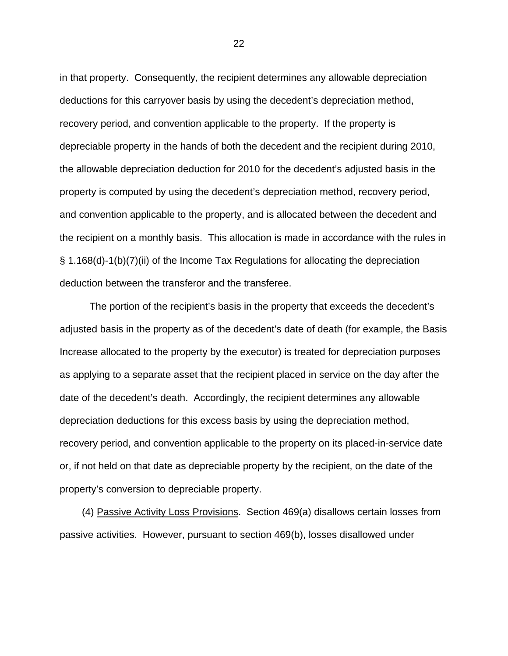in that property. Consequently, the recipient determines any allowable depreciation deductions for this carryover basis by using the decedent's depreciation method, recovery period, and convention applicable to the property. If the property is depreciable property in the hands of both the decedent and the recipient during 2010, the allowable depreciation deduction for 2010 for the decedent's adjusted basis in the property is computed by using the decedent's depreciation method, recovery period, and convention applicable to the property, and is allocated between the decedent and the recipient on a monthly basis. This allocation is made in accordance with the rules in § 1.168(d)-1(b)(7)(ii) of the Income Tax Regulations for allocating the depreciation deduction between the transferor and the transferee.

The portion of the recipient's basis in the property that exceeds the decedent's adjusted basis in the property as of the decedent's date of death (for example, the Basis Increase allocated to the property by the executor) is treated for depreciation purposes as applying to a separate asset that the recipient placed in service on the day after the date of the decedent's death. Accordingly, the recipient determines any allowable depreciation deductions for this excess basis by using the depreciation method, recovery period, and convention applicable to the property on its placed-in-service date or, if not held on that date as depreciable property by the recipient, on the date of the property's conversion to depreciable property.

 (4) Passive Activity Loss Provisions. Section 469(a) disallows certain losses from passive activities. However, pursuant to section 469(b), losses disallowed under

<u>22</u>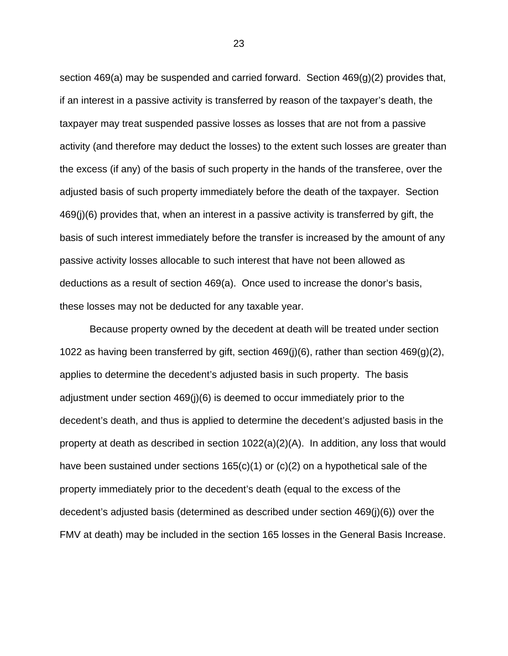section 469(a) may be suspended and carried forward. Section 469(g)(2) provides that, if an interest in a passive activity is transferred by reason of the taxpayer's death, the taxpayer may treat suspended passive losses as losses that are not from a passive activity (and therefore may deduct the losses) to the extent such losses are greater than the excess (if any) of the basis of such property in the hands of the transferee, over the adjusted basis of such property immediately before the death of the taxpayer. Section 469(j)(6) provides that, when an interest in a passive activity is transferred by gift, the basis of such interest immediately before the transfer is increased by the amount of any passive activity losses allocable to such interest that have not been allowed as deductions as a result of section 469(a). Once used to increase the donor's basis, these losses may not be deducted for any taxable year.

Because property owned by the decedent at death will be treated under section 1022 as having been transferred by gift, section 469(j)(6), rather than section 469(g)(2), applies to determine the decedent's adjusted basis in such property. The basis adjustment under section 469(j)(6) is deemed to occur immediately prior to the decedent's death, and thus is applied to determine the decedent's adjusted basis in the property at death as described in section 1022(a)(2)(A). In addition, any loss that would have been sustained under sections 165(c)(1) or (c)(2) on a hypothetical sale of the property immediately prior to the decedent's death (equal to the excess of the decedent's adjusted basis (determined as described under section 469(j)(6)) over the FMV at death) may be included in the section 165 losses in the General Basis Increase.

<u>23</u>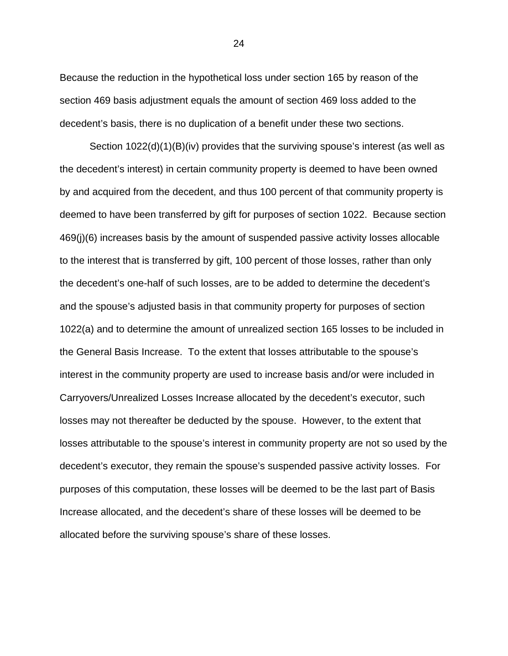Because the reduction in the hypothetical loss under section 165 by reason of the section 469 basis adjustment equals the amount of section 469 loss added to the decedent's basis, there is no duplication of a benefit under these two sections.

Section 1022(d)(1)(B)(iv) provides that the surviving spouse's interest (as well as the decedent's interest) in certain community property is deemed to have been owned by and acquired from the decedent, and thus 100 percent of that community property is deemed to have been transferred by gift for purposes of section 1022. Because section 469(j)(6) increases basis by the amount of suspended passive activity losses allocable to the interest that is transferred by gift, 100 percent of those losses, rather than only the decedent's one-half of such losses, are to be added to determine the decedent's and the spouse's adjusted basis in that community property for purposes of section 1022(a) and to determine the amount of unrealized section 165 losses to be included in the General Basis Increase. To the extent that losses attributable to the spouse's interest in the community property are used to increase basis and/or were included in Carryovers/Unrealized Losses Increase allocated by the decedent's executor, such losses may not thereafter be deducted by the spouse. However, to the extent that losses attributable to the spouse's interest in community property are not so used by the decedent's executor, they remain the spouse's suspended passive activity losses. For purposes of this computation, these losses will be deemed to be the last part of Basis Increase allocated, and the decedent's share of these losses will be deemed to be allocated before the surviving spouse's share of these losses.

 $\sim$  24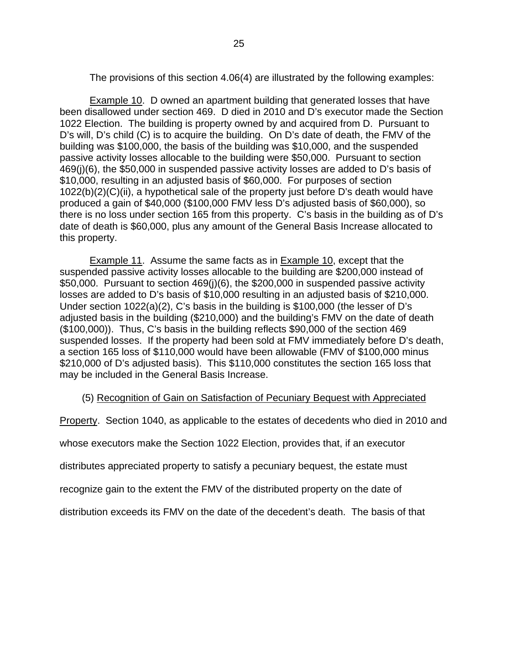The provisions of this section 4.06(4) are illustrated by the following examples:

Example 10. D owned an apartment building that generated losses that have been disallowed under section 469. D died in 2010 and D's executor made the Section 1022 Election. The building is property owned by and acquired from D. Pursuant to D's will, D's child (C) is to acquire the building. On D's date of death, the FMV of the building was \$100,000, the basis of the building was \$10,000, and the suspended passive activity losses allocable to the building were \$50,000. Pursuant to section 469(j)(6), the \$50,000 in suspended passive activity losses are added to D's basis of \$10,000, resulting in an adjusted basis of \$60,000. For purposes of section 1022(b)(2)(C)(ii), a hypothetical sale of the property just before D's death would have produced a gain of \$40,000 (\$100,000 FMV less D's adjusted basis of \$60,000), so there is no loss under section 165 from this property. C's basis in the building as of D's date of death is \$60,000, plus any amount of the General Basis Increase allocated to this property.

Example 11. Assume the same facts as in Example 10, except that the suspended passive activity losses allocable to the building are \$200,000 instead of \$50,000. Pursuant to section 469(j)(6), the \$200,000 in suspended passive activity losses are added to D's basis of \$10,000 resulting in an adjusted basis of \$210,000. Under section 1022(a)(2), C's basis in the building is \$100,000 (the lesser of D's adjusted basis in the building (\$210,000) and the building's FMV on the date of death (\$100,000)). Thus, C's basis in the building reflects \$90,000 of the section 469 suspended losses. If the property had been sold at FMV immediately before D's death, a section 165 loss of \$110,000 would have been allowable (FMV of \$100,000 minus \$210,000 of D's adjusted basis). This \$110,000 constitutes the section 165 loss that may be included in the General Basis Increase.

# (5) Recognition of Gain on Satisfaction of Pecuniary Bequest with Appreciated

Property. Section 1040, as applicable to the estates of decedents who died in 2010 and

whose executors make the Section 1022 Election, provides that, if an executor

distributes appreciated property to satisfy a pecuniary bequest, the estate must

recognize gain to the extent the FMV of the distributed property on the date of

distribution exceeds its FMV on the date of the decedent's death. The basis of that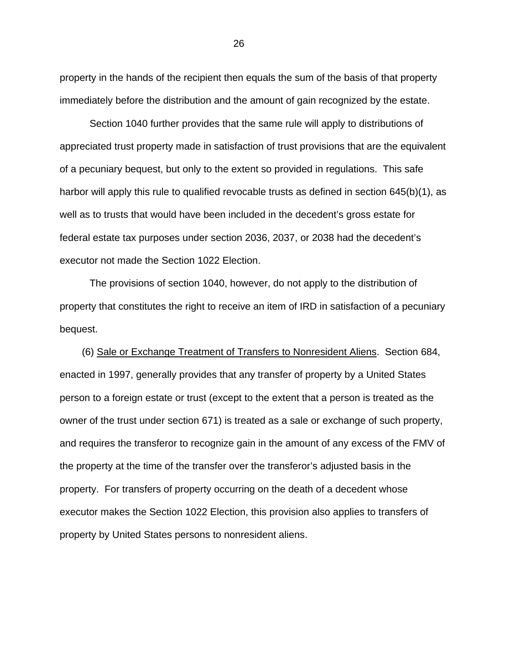property in the hands of the recipient then equals the sum of the basis of that property immediately before the distribution and the amount of gain recognized by the estate.

Section 1040 further provides that the same rule will apply to distributions of appreciated trust property made in satisfaction of trust provisions that are the equivalent of a pecuniary bequest, but only to the extent so provided in regulations. This safe harbor will apply this rule to qualified revocable trusts as defined in section 645(b)(1), as well as to trusts that would have been included in the decedent's gross estate for federal estate tax purposes under section 2036, 2037, or 2038 had the decedent's executor not made the Section 1022 Election.

The provisions of section 1040, however, do not apply to the distribution of property that constitutes the right to receive an item of IRD in satisfaction of a pecuniary bequest.

 (6) Sale or Exchange Treatment of Transfers to Nonresident Aliens. Section 684, enacted in 1997, generally provides that any transfer of property by a United States person to a foreign estate or trust (except to the extent that a person is treated as the owner of the trust under section 671) is treated as a sale or exchange of such property, and requires the transferor to recognize gain in the amount of any excess of the FMV of the property at the time of the transfer over the transferor's adjusted basis in the property. For transfers of property occurring on the death of a decedent whose executor makes the Section 1022 Election, this provision also applies to transfers of property by United States persons to nonresident aliens.

 $\sim$  26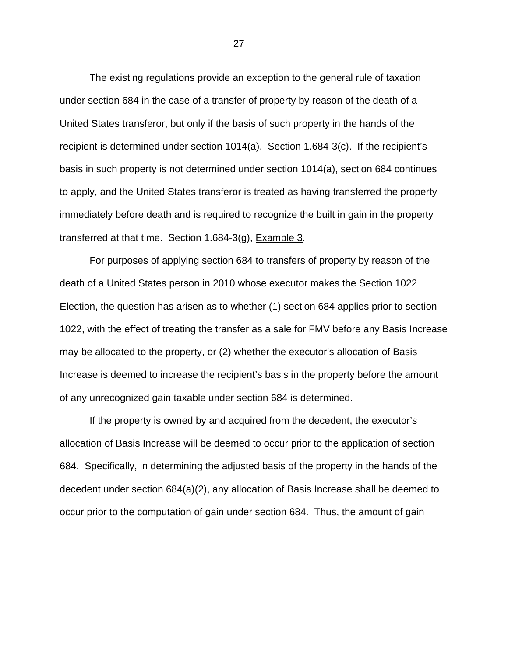The existing regulations provide an exception to the general rule of taxation under section 684 in the case of a transfer of property by reason of the death of a United States transferor, but only if the basis of such property in the hands of the recipient is determined under section 1014(a). Section 1.684-3(c). If the recipient's basis in such property is not determined under section 1014(a), section 684 continues to apply, and the United States transferor is treated as having transferred the property immediately before death and is required to recognize the built in gain in the property transferred at that time. Section 1.684-3(g), Example 3.

For purposes of applying section 684 to transfers of property by reason of the death of a United States person in 2010 whose executor makes the Section 1022 Election, the question has arisen as to whether (1) section 684 applies prior to section 1022, with the effect of treating the transfer as a sale for FMV before any Basis Increase may be allocated to the property, or (2) whether the executor's allocation of Basis Increase is deemed to increase the recipient's basis in the property before the amount of any unrecognized gain taxable under section 684 is determined.

If the property is owned by and acquired from the decedent, the executor's allocation of Basis Increase will be deemed to occur prior to the application of section 684. Specifically, in determining the adjusted basis of the property in the hands of the decedent under section 684(a)(2), any allocation of Basis Increase shall be deemed to occur prior to the computation of gain under section 684. Thus, the amount of gain

<u>27 and 27</u>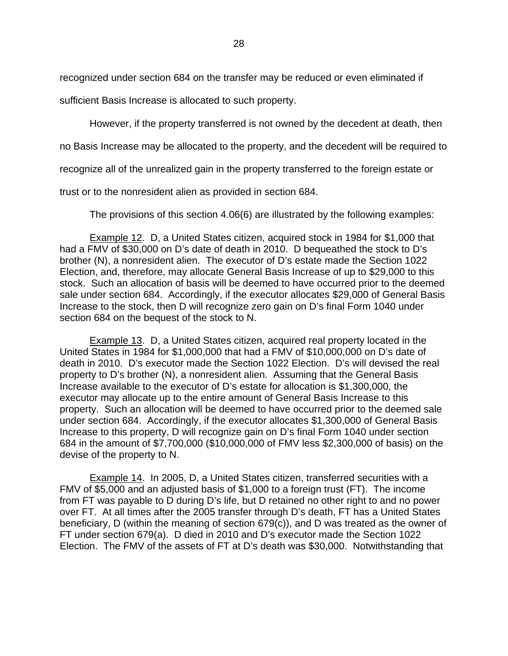recognized under section 684 on the transfer may be reduced or even eliminated if

sufficient Basis Increase is allocated to such property.

However, if the property transferred is not owned by the decedent at death, then

no Basis Increase may be allocated to the property, and the decedent will be required to

recognize all of the unrealized gain in the property transferred to the foreign estate or

trust or to the nonresident alien as provided in section 684.

The provisions of this section 4.06(6) are illustrated by the following examples:

Example 12. D, a United States citizen, acquired stock in 1984 for \$1,000 that had a FMV of \$30,000 on D's date of death in 2010. D bequeathed the stock to D's brother (N), a nonresident alien. The executor of D's estate made the Section 1022 Election, and, therefore, may allocate General Basis Increase of up to \$29,000 to this stock. Such an allocation of basis will be deemed to have occurred prior to the deemed sale under section 684. Accordingly, if the executor allocates \$29,000 of General Basis Increase to the stock, then D will recognize zero gain on D's final Form 1040 under section 684 on the bequest of the stock to N.

Example 13. D, a United States citizen, acquired real property located in the United States in 1984 for \$1,000,000 that had a FMV of \$10,000,000 on D's date of death in 2010. D's executor made the Section 1022 Election. D's will devised the real property to D's brother (N), a nonresident alien. Assuming that the General Basis Increase available to the executor of D's estate for allocation is \$1,300,000, the executor may allocate up to the entire amount of General Basis Increase to this property. Such an allocation will be deemed to have occurred prior to the deemed sale under section 684. Accordingly, if the executor allocates \$1,300,000 of General Basis Increase to this property, D will recognize gain on D's final Form 1040 under section 684 in the amount of \$7,700,000 (\$10,000,000 of FMV less \$2,300,000 of basis) on the devise of the property to N.

Example 14. In 2005, D, a United States citizen, transferred securities with a FMV of \$5,000 and an adjusted basis of \$1,000 to a foreign trust (FT). The income from FT was payable to D during D's life, but D retained no other right to and no power over FT. At all times after the 2005 transfer through D's death, FT has a United States beneficiary, D (within the meaning of section 679(c)), and D was treated as the owner of FT under section 679(a). D died in 2010 and D's executor made the Section 1022 Election. The FMV of the assets of FT at D's death was \$30,000. Notwithstanding that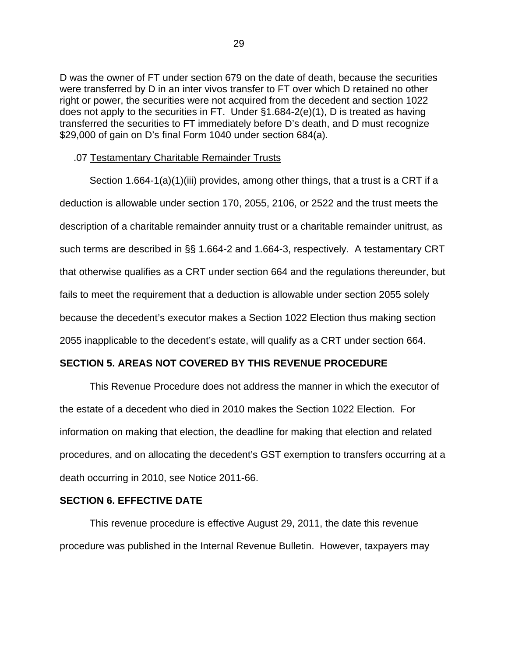D was the owner of FT under section 679 on the date of death, because the securities were transferred by D in an inter vivos transfer to FT over which D retained no other right or power, the securities were not acquired from the decedent and section 1022 does not apply to the securities in FT. Under §1.684-2(e)(1), D is treated as having transferred the securities to FT immediately before D's death, and D must recognize \$29,000 of gain on D's final Form 1040 under section 684(a).

#### .07 Testamentary Charitable Remainder Trusts

 Section 1.664-1(a)(1)(iii) provides, among other things, that a trust is a CRT if a deduction is allowable under section 170, 2055, 2106, or 2522 and the trust meets the description of a charitable remainder annuity trust or a charitable remainder unitrust, as such terms are described in §§ 1.664-2 and 1.664-3, respectively. A testamentary CRT that otherwise qualifies as a CRT under section 664 and the regulations thereunder, but fails to meet the requirement that a deduction is allowable under section 2055 solely because the decedent's executor makes a Section 1022 Election thus making section 2055 inapplicable to the decedent's estate, will qualify as a CRT under section 664.

### **SECTION 5. AREAS NOT COVERED BY THIS REVENUE PROCEDURE**

This Revenue Procedure does not address the manner in which the executor of the estate of a decedent who died in 2010 makes the Section 1022 Election. For information on making that election, the deadline for making that election and related procedures, and on allocating the decedent's GST exemption to transfers occurring at a death occurring in 2010, see Notice 2011-66.

#### **SECTION 6. EFFECTIVE DATE**

This revenue procedure is effective August 29, 2011, the date this revenue procedure was published in the Internal Revenue Bulletin. However, taxpayers may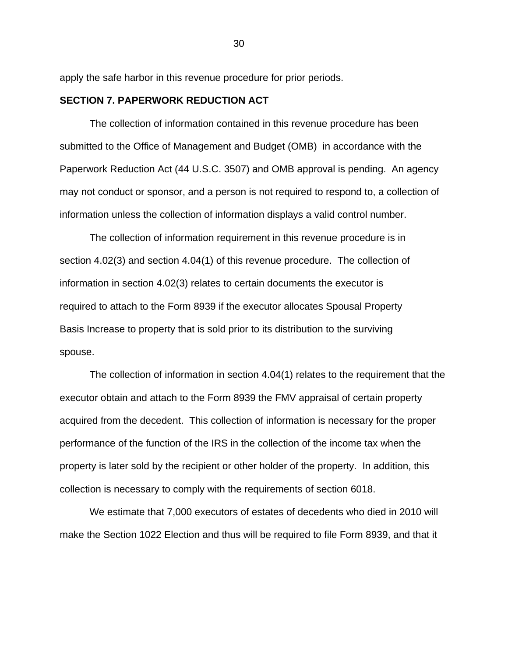apply the safe harbor in this revenue procedure for prior periods.

# **SECTION 7. PAPERWORK REDUCTION ACT**

The collection of information contained in this revenue procedure has been submitted to the Office of Management and Budget (OMB) in accordance with the Paperwork Reduction Act (44 U.S.C. 3507) and OMB approval is pending. An agency may not conduct or sponsor, and a person is not required to respond to, a collection of information unless the collection of information displays a valid control number.

The collection of information requirement in this revenue procedure is in section 4.02(3) and section 4.04(1) of this revenue procedure. The collection of information in section 4.02(3) relates to certain documents the executor is required to attach to the Form 8939 if the executor allocates Spousal Property Basis Increase to property that is sold prior to its distribution to the surviving spouse.

The collection of information in section 4.04(1) relates to the requirement that the executor obtain and attach to the Form 8939 the FMV appraisal of certain property acquired from the decedent. This collection of information is necessary for the proper performance of the function of the IRS in the collection of the income tax when the property is later sold by the recipient or other holder of the property. In addition, this collection is necessary to comply with the requirements of section 6018.

We estimate that 7,000 executors of estates of decedents who died in 2010 will make the Section 1022 Election and thus will be required to file Form 8939, and that it

<u>30</u>